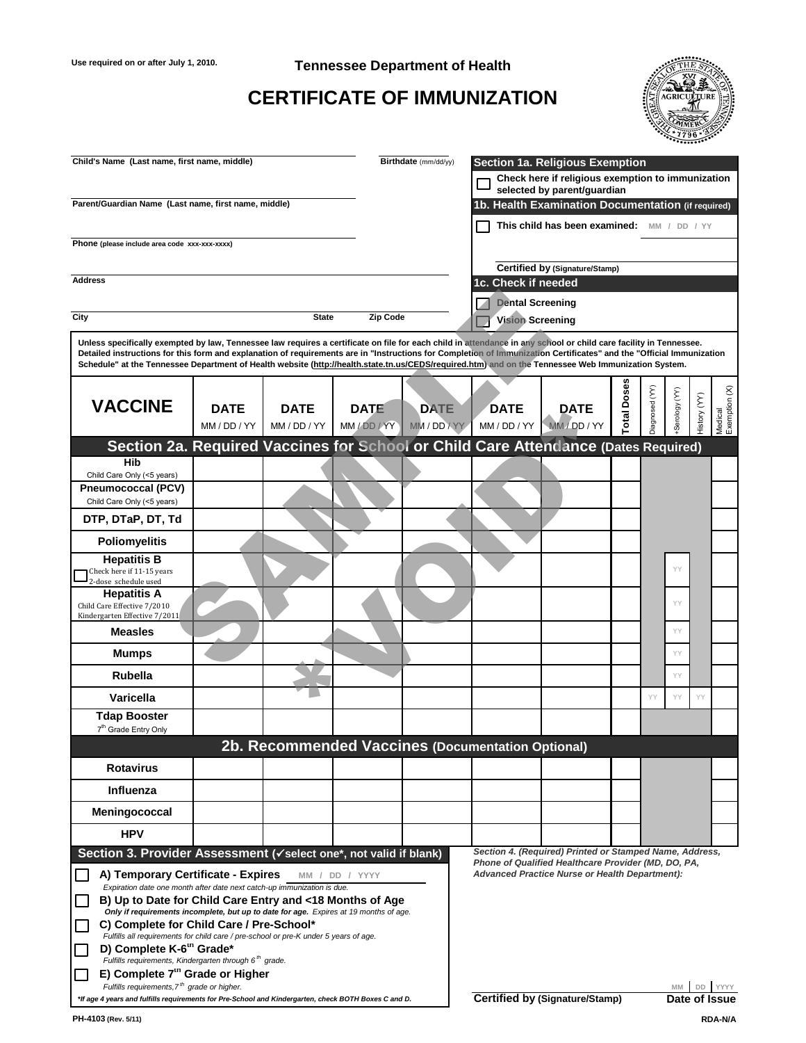**Use required on or after July 1, 2010. Tennessee Department of Health**

| Child's Name (Last name, first name, middle)                                                                                                                                                                                                                                                                                                                                                                                                                                                     |              |                                                          |                 | Birthdate (mm/dd/yy) |                         |                                                                                                                            |             |                |               |            |                          |
|--------------------------------------------------------------------------------------------------------------------------------------------------------------------------------------------------------------------------------------------------------------------------------------------------------------------------------------------------------------------------------------------------------------------------------------------------------------------------------------------------|--------------|----------------------------------------------------------|-----------------|----------------------|-------------------------|----------------------------------------------------------------------------------------------------------------------------|-------------|----------------|---------------|------------|--------------------------|
|                                                                                                                                                                                                                                                                                                                                                                                                                                                                                                  |              |                                                          |                 |                      |                         | <b>Section 1a. Religious Exemption</b><br>Check here if religious exemption to immunization<br>selected by parent/guardian |             |                |               |            |                          |
| Parent/Guardian Name (Last name, first name, middle)                                                                                                                                                                                                                                                                                                                                                                                                                                             |              |                                                          |                 |                      |                         | 1b. Health Examination Documentation (if required)                                                                         |             |                |               |            |                          |
|                                                                                                                                                                                                                                                                                                                                                                                                                                                                                                  |              |                                                          |                 |                      |                         | This child has been examined:                                                                                              |             |                |               |            |                          |
| Phone (please include area code xxx-xxx-xxxx)                                                                                                                                                                                                                                                                                                                                                                                                                                                    |              |                                                          |                 |                      |                         |                                                                                                                            |             |                |               |            |                          |
|                                                                                                                                                                                                                                                                                                                                                                                                                                                                                                  |              |                                                          |                 |                      |                         | <b>Certified by (Signature/Stamp)</b>                                                                                      |             |                |               |            |                          |
| <b>Address</b>                                                                                                                                                                                                                                                                                                                                                                                                                                                                                   |              |                                                          |                 |                      | 1c. Check if needed     |                                                                                                                            |             |                |               |            |                          |
|                                                                                                                                                                                                                                                                                                                                                                                                                                                                                                  |              |                                                          |                 |                      | <b>Dental Screening</b> |                                                                                                                            |             |                |               |            |                          |
| <b>City</b>                                                                                                                                                                                                                                                                                                                                                                                                                                                                                      |              | <b>State</b>                                             | <b>Zip Code</b> |                      | <b>Vision Screening</b> |                                                                                                                            |             |                |               |            |                          |
| Unless specifically exempted by law, Tennessee law requires a certificate on file for each child in attendance in any school or child care facility in Tennessee.<br>Detailed instructions for this form and explanation of requirements are in "Instructions for Completion of Immunization Certificates" and the "Official Immunization<br>Schedule" at the Tennessee Department of Health website (http://health.state.tn.us/CEDS/required.htm) and on the Tennessee Web Immunization System. |              |                                                          |                 |                      |                         |                                                                                                                            |             |                |               |            |                          |
|                                                                                                                                                                                                                                                                                                                                                                                                                                                                                                  |              |                                                          |                 |                      |                         |                                                                                                                            |             |                |               |            |                          |
| <b>VACCINE</b>                                                                                                                                                                                                                                                                                                                                                                                                                                                                                   | <b>DATE</b>  | <b>DATE</b>                                              | <b>DATE</b>     | <b>DATE</b>          | <b>DATE</b>             | <b>DATE</b>                                                                                                                | <b>Dose</b> |                | Serology (YY) | $(\times)$ |                          |
|                                                                                                                                                                                                                                                                                                                                                                                                                                                                                                  | MM / DD / YY | MM / DD / YY                                             | MM / DD / YY    | MM / DD / YY         | MM / DD / YY            | MM/DD/YY                                                                                                                   | otal        | Diagnosed (YY) |               | History    | Medical<br>Exemption (X) |
| Section 2a. Required Vaccines for School or Child Care Attendance (Dates Required)                                                                                                                                                                                                                                                                                                                                                                                                               |              |                                                          |                 |                      |                         |                                                                                                                            |             |                |               |            |                          |
| <b>Hib</b><br>Child Care Only (<5 years)                                                                                                                                                                                                                                                                                                                                                                                                                                                         |              |                                                          |                 |                      |                         |                                                                                                                            |             |                |               |            |                          |
| <b>Pneumococcal (PCV)</b>                                                                                                                                                                                                                                                                                                                                                                                                                                                                        |              |                                                          |                 |                      |                         |                                                                                                                            |             |                |               |            |                          |
| Child Care Only (<5 years)                                                                                                                                                                                                                                                                                                                                                                                                                                                                       |              |                                                          |                 |                      |                         |                                                                                                                            |             |                |               |            |                          |
| DTP, DTaP, DT, Td                                                                                                                                                                                                                                                                                                                                                                                                                                                                                |              |                                                          |                 |                      |                         |                                                                                                                            |             |                |               |            |                          |
| <b>Poliomyelitis</b>                                                                                                                                                                                                                                                                                                                                                                                                                                                                             |              |                                                          |                 |                      |                         |                                                                                                                            |             |                |               |            |                          |
| <b>Hepatitis B</b><br>Check here if 11-15 years<br>2-dose schedule used                                                                                                                                                                                                                                                                                                                                                                                                                          |              |                                                          |                 |                      |                         |                                                                                                                            |             |                | YY            |            |                          |
| <b>Hepatitis A</b><br>Child Care Effective 7/2010<br>Kindergarten Effective 7/2011                                                                                                                                                                                                                                                                                                                                                                                                               |              |                                                          |                 |                      |                         |                                                                                                                            |             |                | YY            |            |                          |
| <b>Measles</b>                                                                                                                                                                                                                                                                                                                                                                                                                                                                                   |              |                                                          |                 |                      |                         |                                                                                                                            |             |                | YY            |            |                          |
| <b>Mumps</b>                                                                                                                                                                                                                                                                                                                                                                                                                                                                                     |              |                                                          |                 |                      |                         |                                                                                                                            |             |                | YY            |            |                          |
| <b>Rubella</b>                                                                                                                                                                                                                                                                                                                                                                                                                                                                                   |              |                                                          |                 |                      |                         |                                                                                                                            |             |                | YY            |            |                          |
| <b>Varicella</b>                                                                                                                                                                                                                                                                                                                                                                                                                                                                                 |              |                                                          |                 |                      |                         |                                                                                                                            |             | YY             | YY            | YY         |                          |
| <b>Tdap Booster</b><br>7 <sup>th</sup> Grade Entry Only                                                                                                                                                                                                                                                                                                                                                                                                                                          |              |                                                          |                 |                      |                         |                                                                                                                            |             |                |               |            |                          |
|                                                                                                                                                                                                                                                                                                                                                                                                                                                                                                  |              | <b>2b. Recommended Vaccines (Documentation Optional)</b> |                 |                      |                         |                                                                                                                            |             |                |               |            |                          |
|                                                                                                                                                                                                                                                                                                                                                                                                                                                                                                  |              |                                                          |                 |                      |                         |                                                                                                                            |             |                |               |            |                          |

# **CERTIFICATE OF IMMUNIZATION**



| <b>Measles</b>                                                                                                                                                                                                                                                                                                                                                                                                                                                                                                                                                                                                                                                                         |  |  |                                                                                                                                                                         |  |               | YY        |  |
|----------------------------------------------------------------------------------------------------------------------------------------------------------------------------------------------------------------------------------------------------------------------------------------------------------------------------------------------------------------------------------------------------------------------------------------------------------------------------------------------------------------------------------------------------------------------------------------------------------------------------------------------------------------------------------------|--|--|-------------------------------------------------------------------------------------------------------------------------------------------------------------------------|--|---------------|-----------|--|
| <b>Mumps</b>                                                                                                                                                                                                                                                                                                                                                                                                                                                                                                                                                                                                                                                                           |  |  |                                                                                                                                                                         |  |               | <b>YY</b> |  |
| <b>Rubella</b>                                                                                                                                                                                                                                                                                                                                                                                                                                                                                                                                                                                                                                                                         |  |  |                                                                                                                                                                         |  |               | <b>YY</b> |  |
| <b>Varicella</b>                                                                                                                                                                                                                                                                                                                                                                                                                                                                                                                                                                                                                                                                       |  |  |                                                                                                                                                                         |  | YY            | YY<br>YY  |  |
| <b>Tdap Booster</b><br>7 <sup>th</sup> Grade Entry Only                                                                                                                                                                                                                                                                                                                                                                                                                                                                                                                                                                                                                                |  |  |                                                                                                                                                                         |  |               |           |  |
|                                                                                                                                                                                                                                                                                                                                                                                                                                                                                                                                                                                                                                                                                        |  |  | <b>2b. Recommended Vaccines (Documentation Optional)</b>                                                                                                                |  |               |           |  |
| <b>Rotavirus</b>                                                                                                                                                                                                                                                                                                                                                                                                                                                                                                                                                                                                                                                                       |  |  |                                                                                                                                                                         |  |               |           |  |
| Influenza                                                                                                                                                                                                                                                                                                                                                                                                                                                                                                                                                                                                                                                                              |  |  |                                                                                                                                                                         |  |               |           |  |
| Meningococcal                                                                                                                                                                                                                                                                                                                                                                                                                                                                                                                                                                                                                                                                          |  |  |                                                                                                                                                                         |  |               |           |  |
| <b>HPV</b>                                                                                                                                                                                                                                                                                                                                                                                                                                                                                                                                                                                                                                                                             |  |  |                                                                                                                                                                         |  |               |           |  |
| Section 3. Provider Assessment ( $\checkmark$ select one*, not valid if blank)<br>A) Temporary Certificate - Expires<br>Expiration date one month after date next catch-up immunization is due.<br>B) Up to Date for Child Care Entry and <18 Months of Age<br>Only if requirements incomplete, but up to date for age. Expires at 19 months of age.<br>C) Complete for Child Care / Pre-School*<br>Fulfills all requirements for child care / pre-school or pre-K under 5 years of age.<br>D) Complete K-6" Grade*<br>Fulfills requirements, Kindergarten through 6 <sup>th</sup> grade.<br>E) Complete 7" Grade or Higher<br>Fulfills requirements, 7 <sup>th</sup> grade or higher. |  |  | Section 4. (Required) Printed or Stamped Name, Address,<br>Phone of Qualified Healthcare Provider (MD, DO, PA,<br><b>Advanced Practice Nurse or Health Department):</b> |  | <b>MM</b>     |           |  |
| *If age 4 years and fulfills requirements for Pre-School and Kindergarten, check BOTH Boxes C and D.                                                                                                                                                                                                                                                                                                                                                                                                                                                                                                                                                                                   |  |  | <b>Certified by (Signature/Stamp)</b>                                                                                                                                   |  | Date of Issue |           |  |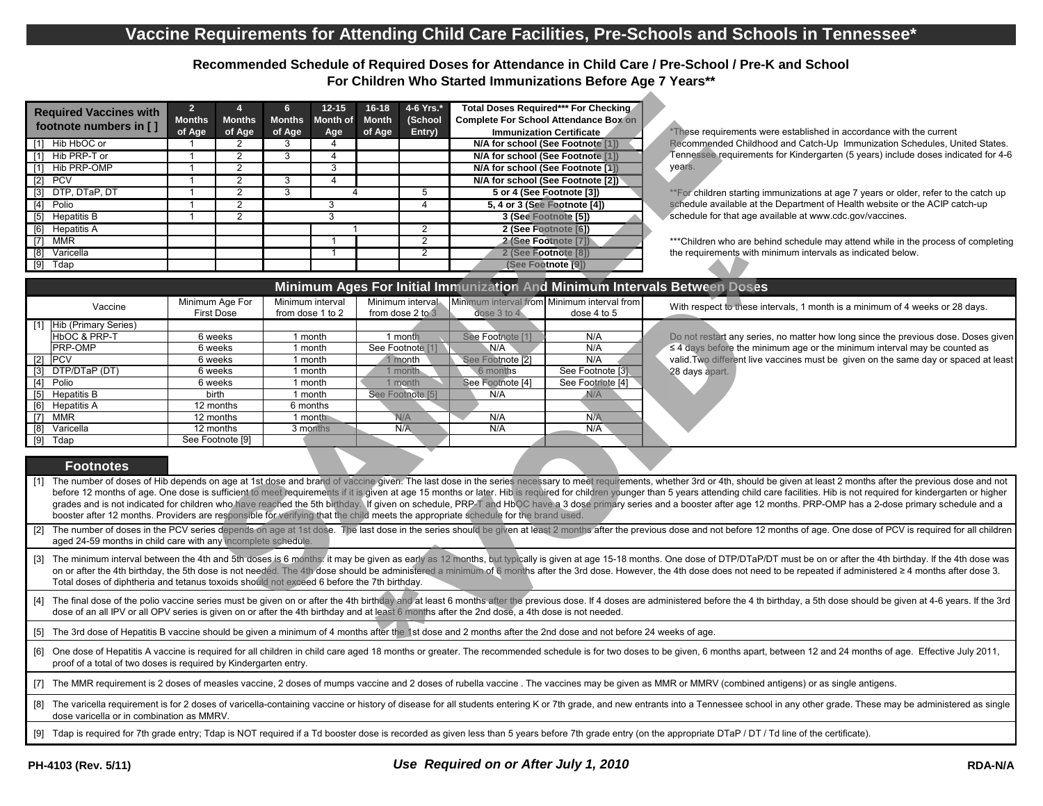**Recommended Schedule of Required Doses for Attendance in Child Care / Pre-School / Pre-K and School For Children Who Started Immunizations Before Age 7 Years\*\***

| <b>Required Vaccines with</b><br>footnote numbers in [] | $\overline{2}$<br><b>Months</b><br>of Age | <b>Months</b>  | 6.<br><b>Months</b> | $12 - 15$<br>Month of | $16 - 18$<br><b>Month</b> | 4-6 Yrs.*<br>(School         | Total Doses Required*** For Checking<br><b>Complete For School Attendance Box on</b><br><b>Immunization Certificate</b> |
|---------------------------------------------------------|-------------------------------------------|----------------|---------------------|-----------------------|---------------------------|------------------------------|-------------------------------------------------------------------------------------------------------------------------|
| Hib HbOC or                                             |                                           | of Age         | of Age              | Age<br>4              | of Age                    | Entry)                       | N/A for school (See Footnote [1])                                                                                       |
| Hib PRP-T or                                            |                                           |                |                     | 4                     |                           |                              | N/A for school (See Footnote [1])                                                                                       |
| Hib PRP-OMP                                             |                                           | 2              |                     | 3                     |                           |                              | N/A for school (See Footnote [1])                                                                                       |
| <b>PCV</b><br>$[2]$                                     |                                           | 2              | 3                   | 4                     |                           |                              | N/A for school (See Footnote [2])                                                                                       |
| DTP, DTaP, DT<br>$\lceil 3 \rceil$                      |                                           |                |                     |                       |                           | 5                            | 5 or 4 (See Footnote [3])                                                                                               |
| [4]<br>Polio                                            |                                           |                |                     |                       | 4                         | 5, 4 or 3 (See Footnote [4]) |                                                                                                                         |
| <b>Hepatitis B</b><br>[5]                               |                                           | $\overline{2}$ |                     |                       |                           |                              | 3 (See Footnote [5])                                                                                                    |
| Hepatitis A<br>[6]                                      |                                           |                |                     |                       |                           | 2                            | 2 (See Footnote [6])                                                                                                    |
| <b>MMR</b>                                              |                                           |                |                     |                       |                           | 2                            | 2 (See Footnote [7])                                                                                                    |
| Varicella<br>[8]                                        |                                           |                |                     |                       |                           | 2                            | 2 (See Footnote [8])                                                                                                    |
| Tdap<br>[9]                                             |                                           |                |                     |                       |                           |                              | (See Footnote [9])                                                                                                      |

|                                                                                                                                                                                                                                                                                                                                                                                                                                                                                                                                                                        | <b>Required Vaccines with</b>                                                                                                                                                                                                                                                                                                                                                                                                                                      | $\mathbf{2}$<br><b>Months</b> | <b>Months</b>    | <b>Months</b>      | $12 - 15$<br><b>Month of</b> | $16 - 18$<br><b>Month</b> | 4-6 Yrs.*<br>(School        |                             | Total Doses Required*** For Checking<br><b>Complete For School Attendance Box on</b> |                                                                                                                                                                                                                                |  |  |
|------------------------------------------------------------------------------------------------------------------------------------------------------------------------------------------------------------------------------------------------------------------------------------------------------------------------------------------------------------------------------------------------------------------------------------------------------------------------------------------------------------------------------------------------------------------------|--------------------------------------------------------------------------------------------------------------------------------------------------------------------------------------------------------------------------------------------------------------------------------------------------------------------------------------------------------------------------------------------------------------------------------------------------------------------|-------------------------------|------------------|--------------------|------------------------------|---------------------------|-----------------------------|-----------------------------|--------------------------------------------------------------------------------------|--------------------------------------------------------------------------------------------------------------------------------------------------------------------------------------------------------------------------------|--|--|
|                                                                                                                                                                                                                                                                                                                                                                                                                                                                                                                                                                        | footnote numbers in []                                                                                                                                                                                                                                                                                                                                                                                                                                             | of Age                        | of Age           | of Age             | Age                          | of Age                    | Entry)                      |                             | <b>Immunization Certificate</b>                                                      | These requirements were established in accordance with the current                                                                                                                                                             |  |  |
|                                                                                                                                                                                                                                                                                                                                                                                                                                                                                                                                                                        | $[1]$ Hib HbOC or                                                                                                                                                                                                                                                                                                                                                                                                                                                  |                               | 2                | З                  | Δ                            |                           |                             |                             | N/A for school (See Footnote [1])                                                    | Recommended Childhood and Catch-Up Immunization Schedules, United States.                                                                                                                                                      |  |  |
|                                                                                                                                                                                                                                                                                                                                                                                                                                                                                                                                                                        | $[1]$ Hib PRP-T or                                                                                                                                                                                                                                                                                                                                                                                                                                                 |                               | 2                | 3                  | $\boldsymbol{\Delta}$        |                           |                             |                             | N/A for school (See Footnote [1])                                                    | Tennessee requirements for Kindergarten (5 years) include doses indicated for 4-6                                                                                                                                              |  |  |
|                                                                                                                                                                                                                                                                                                                                                                                                                                                                                                                                                                        | $[1]$ Hib PRP-OMP                                                                                                                                                                                                                                                                                                                                                                                                                                                  |                               | 2                |                    | 3                            |                           |                             |                             | N/A for school (See Footnote [1])                                                    | years.                                                                                                                                                                                                                         |  |  |
|                                                                                                                                                                                                                                                                                                                                                                                                                                                                                                                                                                        | $[2]$ PCV                                                                                                                                                                                                                                                                                                                                                                                                                                                          |                               | $\overline{2}$   | 3                  | 4                            |                           |                             |                             | N/A for school (See Footnote [2])                                                    |                                                                                                                                                                                                                                |  |  |
| $[3]$                                                                                                                                                                                                                                                                                                                                                                                                                                                                                                                                                                  | DTP, DTaP, DT                                                                                                                                                                                                                                                                                                                                                                                                                                                      |                               | $\overline{2}$   | 3                  |                              |                           | 5                           |                             | 5 or 4 (See Footnote [3])                                                            | **For children starting immunizations at age 7 years or older, refer to the catch up                                                                                                                                           |  |  |
|                                                                                                                                                                                                                                                                                                                                                                                                                                                                                                                                                                        | [4] Polio                                                                                                                                                                                                                                                                                                                                                                                                                                                          |                               | $\overline{2}$   |                    | 3                            |                           | 4                           |                             | 5, 4 or 3 (See Footnote [4])                                                         | schedule available at the Department of Health website or the ACIP catch-up                                                                                                                                                    |  |  |
|                                                                                                                                                                                                                                                                                                                                                                                                                                                                                                                                                                        | [5] Hepatitis B                                                                                                                                                                                                                                                                                                                                                                                                                                                    |                               | $2^{\circ}$      |                    | 3                            |                           |                             |                             | 3 (See Footnote [5])                                                                 | schedule for that age available at www.cdc.gov/vaccines.                                                                                                                                                                       |  |  |
|                                                                                                                                                                                                                                                                                                                                                                                                                                                                                                                                                                        | [6] Hepatitis A                                                                                                                                                                                                                                                                                                                                                                                                                                                    |                               |                  |                    |                              |                           | $\overline{2}$              |                             | 2 (See Footnote [6])                                                                 |                                                                                                                                                                                                                                |  |  |
|                                                                                                                                                                                                                                                                                                                                                                                                                                                                                                                                                                        | $\boxed{7}$ MMR                                                                                                                                                                                                                                                                                                                                                                                                                                                    |                               |                  |                    |                              |                           | $\overline{2}$              | 2 (See Footnote [7])        |                                                                                      | *** Children who are behind schedule may attend while in the process of completing                                                                                                                                             |  |  |
| $\boxed{8}$                                                                                                                                                                                                                                                                                                                                                                                                                                                                                                                                                            | Varicella                                                                                                                                                                                                                                                                                                                                                                                                                                                          |                               |                  |                    |                              |                           | 2                           | 2 (See Footnote [8])        |                                                                                      | the requirements with minimum intervals as indicated below.                                                                                                                                                                    |  |  |
|                                                                                                                                                                                                                                                                                                                                                                                                                                                                                                                                                                        | $[9]$ Tdap                                                                                                                                                                                                                                                                                                                                                                                                                                                         |                               |                  |                    |                              |                           |                             |                             | (See Footnote [9])                                                                   |                                                                                                                                                                                                                                |  |  |
|                                                                                                                                                                                                                                                                                                                                                                                                                                                                                                                                                                        |                                                                                                                                                                                                                                                                                                                                                                                                                                                                    |                               |                  |                    |                              |                           |                             |                             |                                                                                      |                                                                                                                                                                                                                                |  |  |
|                                                                                                                                                                                                                                                                                                                                                                                                                                                                                                                                                                        |                                                                                                                                                                                                                                                                                                                                                                                                                                                                    |                               |                  |                    |                              |                           |                             |                             |                                                                                      | Minimum Ages For Initial Immunization And Minimum Intervals Between Doses                                                                                                                                                      |  |  |
|                                                                                                                                                                                                                                                                                                                                                                                                                                                                                                                                                                        | Vaccine                                                                                                                                                                                                                                                                                                                                                                                                                                                            | Minimum Age For               |                  | Minimum interval   |                              |                           | Minimum interval            |                             | Minimum interval from Minimum interval from                                          | With respect to these intervals, 1 month is a minimum of 4 weeks or 28 days.                                                                                                                                                   |  |  |
|                                                                                                                                                                                                                                                                                                                                                                                                                                                                                                                                                                        |                                                                                                                                                                                                                                                                                                                                                                                                                                                                    | <b>First Dose</b>             |                  | from dose 1 to 2   |                              |                           | from dose 2 to 3            | dose 3 to 4                 | dose 4 to 5                                                                          |                                                                                                                                                                                                                                |  |  |
| $\lceil 1 \rceil$                                                                                                                                                                                                                                                                                                                                                                                                                                                                                                                                                      | Hib (Primary Series)                                                                                                                                                                                                                                                                                                                                                                                                                                               |                               |                  |                    |                              |                           |                             |                             |                                                                                      |                                                                                                                                                                                                                                |  |  |
|                                                                                                                                                                                                                                                                                                                                                                                                                                                                                                                                                                        | <b>HbOC &amp; PRP-T</b><br><b>PRP-OMP</b>                                                                                                                                                                                                                                                                                                                                                                                                                          | 6 weeks                       |                  | 1 month            |                              |                           | 1 month                     | See Footnote [1]<br>N/A     | N/A                                                                                  | Do not restart any series, no matter how long since the previous dose. Doses given                                                                                                                                             |  |  |
| $[2]$                                                                                                                                                                                                                                                                                                                                                                                                                                                                                                                                                                  | PCV                                                                                                                                                                                                                                                                                                                                                                                                                                                                | 6 weeks<br>6 weeks            |                  | 1 month<br>1 month |                              |                           | See Footnote [1]<br>1 month | See Footnote <sup>[2]</sup> | N/A<br>N/A                                                                           | $\leq$ 4 days before the minimum age or the minimum interval may be counted as<br>valid. Two different live vaccines must be given on the same day or spaced at least                                                          |  |  |
| $\lceil 3 \rceil$                                                                                                                                                                                                                                                                                                                                                                                                                                                                                                                                                      | DTP/DTaP (DT)                                                                                                                                                                                                                                                                                                                                                                                                                                                      | 6 weeks                       |                  | 1 month            |                              |                           | 1 month                     | 6 months                    | See Footnote [3]                                                                     | 28 days apart.                                                                                                                                                                                                                 |  |  |
|                                                                                                                                                                                                                                                                                                                                                                                                                                                                                                                                                                        | [4] Polio                                                                                                                                                                                                                                                                                                                                                                                                                                                          | 6 weeks                       |                  | 1 month            |                              |                           | 1 month                     | See Footnote [4]            | See Footnote [4]                                                                     |                                                                                                                                                                                                                                |  |  |
| [5]                                                                                                                                                                                                                                                                                                                                                                                                                                                                                                                                                                    | Hepatitis B                                                                                                                                                                                                                                                                                                                                                                                                                                                        | birth                         |                  | 1 month            |                              |                           | See Footnote [5]            | Ň/A                         | N/A                                                                                  |                                                                                                                                                                                                                                |  |  |
| [6]                                                                                                                                                                                                                                                                                                                                                                                                                                                                                                                                                                    | Hepatitis A                                                                                                                                                                                                                                                                                                                                                                                                                                                        |                               | 12 months        | 6 months           |                              |                           |                             |                             |                                                                                      |                                                                                                                                                                                                                                |  |  |
| [7]                                                                                                                                                                                                                                                                                                                                                                                                                                                                                                                                                                    | <b>MMR</b>                                                                                                                                                                                                                                                                                                                                                                                                                                                         | 12 months                     |                  |                    | 1 month                      |                           | N/A                         | N/A                         | <b>N/A</b>                                                                           |                                                                                                                                                                                                                                |  |  |
| [8]                                                                                                                                                                                                                                                                                                                                                                                                                                                                                                                                                                    | Varicella                                                                                                                                                                                                                                                                                                                                                                                                                                                          |                               | 12 months        |                    | 3 months                     |                           | N/A                         | N/A<br>N/A                  |                                                                                      |                                                                                                                                                                                                                                |  |  |
|                                                                                                                                                                                                                                                                                                                                                                                                                                                                                                                                                                        | $[9]$ Tdap                                                                                                                                                                                                                                                                                                                                                                                                                                                         |                               | See Footnote [9] |                    |                              |                           |                             |                             |                                                                                      |                                                                                                                                                                                                                                |  |  |
|                                                                                                                                                                                                                                                                                                                                                                                                                                                                                                                                                                        |                                                                                                                                                                                                                                                                                                                                                                                                                                                                    |                               |                  |                    |                              |                           |                             |                             |                                                                                      |                                                                                                                                                                                                                                |  |  |
|                                                                                                                                                                                                                                                                                                                                                                                                                                                                                                                                                                        | <b>Footnotes</b>                                                                                                                                                                                                                                                                                                                                                                                                                                                   |                               |                  |                    |                              |                           |                             |                             |                                                                                      |                                                                                                                                                                                                                                |  |  |
|                                                                                                                                                                                                                                                                                                                                                                                                                                                                                                                                                                        | [1] The number of doses of Hib depends on age at 1st dose and brand of vaccine given. The last dose in the series necessary to meet requirements, whether 3rd or 4th, should be given at least 2 months after the previous dos<br>before 12 months of age. One dose is sufficient to meet requirements if it is given at age 15 months or later. Hib is required for children younger than 5 years attending child care facilities. Hib is not required for kind   |                               |                  |                    |                              |                           |                             |                             |                                                                                      |                                                                                                                                                                                                                                |  |  |
|                                                                                                                                                                                                                                                                                                                                                                                                                                                                                                                                                                        | grades and is not indicated for children who have reached the 5th birthday. If given on schedule, PRP-T and HbOC have a 3 dose primary series and a booster after age 12 months. PRP-OMP has a 2-dose primary schedule and a<br>booster after 12 months. Providers are responsible for verifying that the child meets the appropriate schedule for the brand used.                                                                                                 |                               |                  |                    |                              |                           |                             |                             |                                                                                      |                                                                                                                                                                                                                                |  |  |
| 2                                                                                                                                                                                                                                                                                                                                                                                                                                                                                                                                                                      |                                                                                                                                                                                                                                                                                                                                                                                                                                                                    |                               |                  |                    |                              |                           |                             |                             |                                                                                      | The number of doses in the PCV series depends on age at 1st dose. The last dose in the series should be given at least 2 months after the previous dose and not before 12 months of age. One dose of PCV is required for all c |  |  |
|                                                                                                                                                                                                                                                                                                                                                                                                                                                                                                                                                                        | aged 24-59 months in child care with any incomplete schedule.                                                                                                                                                                                                                                                                                                                                                                                                      |                               |                  |                    |                              |                           |                             |                             |                                                                                      |                                                                                                                                                                                                                                |  |  |
| The minimum interval between the 4th and 5th doses is 6 months: it may be given as early as 12 months, but typically is given at age 15-18 months. One dose of DTP/DTaP/DT must be on or after the 4th birthday. If the 4th do<br>$[3]$<br>on or after the 4th birthday, the 5th dose is not needed. The 4th dose should be administered a minimum of 6 months after the 3rd dose. However, the 4th dose does not need to be repeated if administered a Paronths after d<br>Total doses of diphtheria and tetanus toxoids should not exceed 6 before the 7th birthday. |                                                                                                                                                                                                                                                                                                                                                                                                                                                                    |                               |                  |                    |                              |                           |                             |                             |                                                                                      |                                                                                                                                                                                                                                |  |  |
| [4] The final dose of the polio vaccine series must be given on or after the 4th birthday and at least 6 months after the previous dose. If 4 doses are administered before the 4 th birthday, a 5th dose should be given at 4<br>dose of an all IPV or all OPV series is given on or after the 4th birthday and at least 6 months after the 2nd dose, a 4th dose is not needed.                                                                                                                                                                                       |                                                                                                                                                                                                                                                                                                                                                                                                                                                                    |                               |                  |                    |                              |                           |                             |                             |                                                                                      |                                                                                                                                                                                                                                |  |  |
| $[5]$                                                                                                                                                                                                                                                                                                                                                                                                                                                                                                                                                                  |                                                                                                                                                                                                                                                                                                                                                                                                                                                                    |                               |                  |                    |                              |                           |                             |                             |                                                                                      |                                                                                                                                                                                                                                |  |  |
| [6]                                                                                                                                                                                                                                                                                                                                                                                                                                                                                                                                                                    | The 3rd dose of Hepatitis B vaccine should be given a minimum of 4 months after the 1st dose and 2 months after the 2nd dose and not before 24 weeks of age.<br>One dose of Hepatitis A vaccine is required for all children in child care aged 18 months or greater. The recommended schedule is for two doses to be given, 6 months apart, between 12 and 24 months of age. Effective July 2<br>proof of a total of two doses is required by Kindergarten entry. |                               |                  |                    |                              |                           |                             |                             |                                                                                      |                                                                                                                                                                                                                                |  |  |
|                                                                                                                                                                                                                                                                                                                                                                                                                                                                                                                                                                        |                                                                                                                                                                                                                                                                                                                                                                                                                                                                    |                               |                  |                    |                              |                           |                             |                             |                                                                                      | [7] The MMR requirement is 2 doses of measles vaccine, 2 doses of mumps vaccine and 2 doses of rubella vaccine. The vaccines may be given as MMR or MMRV (combined antigens) or as single antigens.                            |  |  |
|                                                                                                                                                                                                                                                                                                                                                                                                                                                                                                                                                                        | [8] The varicella requirement is for 2 doses of varicella-containing vaccine or history of disease for all students entering K or 7th grade, and new entrants into a Tennessee school in any other grade. These may be adminis<br>dose varicella or in combination as MMRV.                                                                                                                                                                                        |                               |                  |                    |                              |                           |                             |                             |                                                                                      |                                                                                                                                                                                                                                |  |  |

## **Footnotes**

[9] Tdap is required for 7th grade entry; Tdap is NOT required if a Td booster dose is recorded as given less than 5 years before 7th grade entry (on the appropriate DTaP / DT / Td line of the certificate).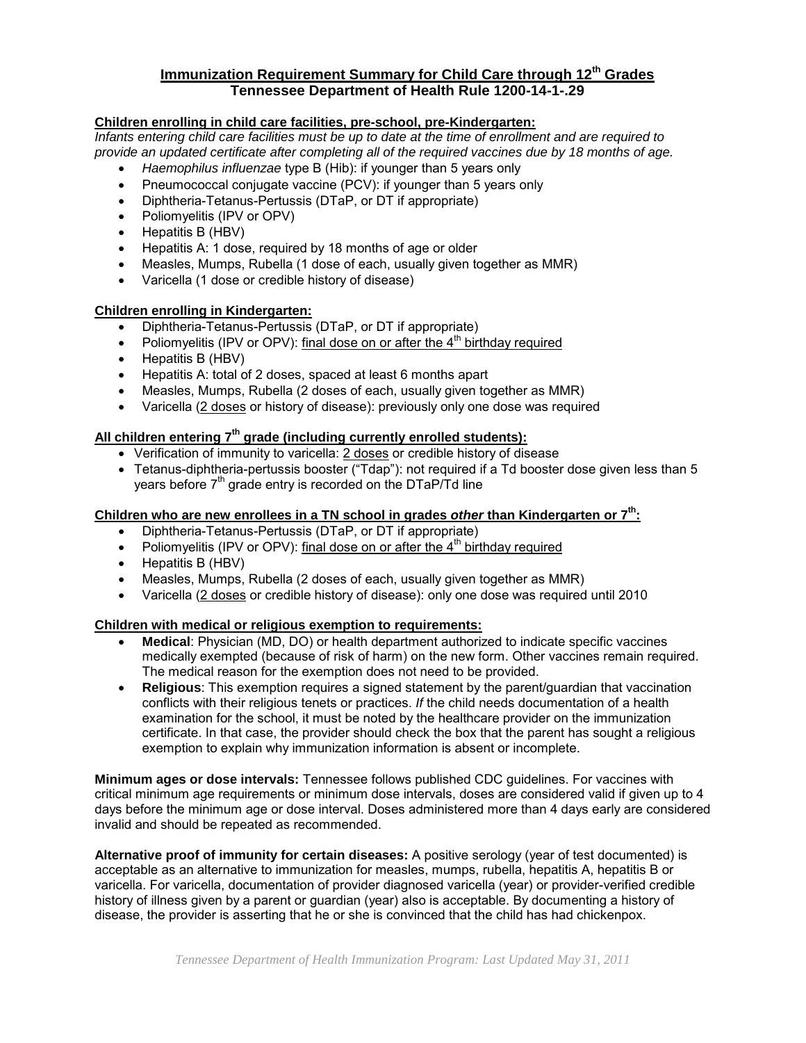### **Immunization Requirement Summary for Child Care through 12th Grades Tennessee Department of Health Rule 1200-14-1-.29**

#### **Children enrolling in child care facilities, pre-school, pre-Kindergarten:**

*Infants entering child care facilities must be up to date at the time of enrollment and are required to provide an updated certificate after completing all of the required vaccines due by 18 months of age.*

- *Haemophilus influenzae* type B (Hib): if younger than 5 years only
- Pneumococcal conjugate vaccine (PCV): if younger than 5 years only
- Diphtheria-Tetanus-Pertussis (DTaP, or DT if appropriate)
- Poliomyelitis (IPV or OPV)
- Hepatitis B (HBV)
- Hepatitis A: 1 dose, required by 18 months of age or older
- Measles, Mumps, Rubella (1 dose of each, usually given together as MMR)
- Varicella (1 dose or credible history of disease)

#### **Children enrolling in Kindergarten:**

- Diphtheria-Tetanus-Pertussis (DTaP, or DT if appropriate)
- Poliomyelitis (IPV or OPV): final dose on or after the  $4<sup>th</sup>$  birthday required
- Hepatitis B (HBV)
- Hepatitis A: total of 2 doses, spaced at least 6 months apart
- Measles, Mumps, Rubella (2 doses of each, usually given together as MMR)
- Varicella (2 doses or history of disease): previously only one dose was required

## **All children entering 7th grade (including currently enrolled students):**

- Verification of immunity to varicella: 2 doses or credible history of disease
- Tetanus-diphtheria-pertussis booster ("Tdap"): not required if a Td booster dose given less than 5 years before  $7<sup>th</sup>$  grade entry is recorded on the DTaP/Td line

## **Children who are new enrollees in a TN school in grades** *other* **than Kindergarten or 7th:**

- Diphtheria-Tetanus-Pertussis (DTaP, or DT if appropriate)
- Poliomyelitis (IPV or OPV): final dose on or after the  $4<sup>th</sup>$  birthday required
- Hepatitis B (HBV)
- Measles, Mumps, Rubella (2 doses of each, usually given together as MMR)
- Varicella (2 doses or credible history of disease): only one dose was required until 2010

#### **Children with medical or religious exemption to requirements:**

- **Medical**: Physician (MD, DO) or health department authorized to indicate specific vaccines medically exempted (because of risk of harm) on the new form. Other vaccines remain required. The medical reason for the exemption does not need to be provided.
- **Religious**: This exemption requires a signed statement by the parent/guardian that vaccination conflicts with their religious tenets or practices. *If* the child needs documentation of a health examination for the school, it must be noted by the healthcare provider on the immunization certificate. In that case, the provider should check the box that the parent has sought a religious exemption to explain why immunization information is absent or incomplete.

**Minimum ages or dose intervals:** Tennessee follows published CDC guidelines. For vaccines with critical minimum age requirements or minimum dose intervals, doses are considered valid if given up to 4 days before the minimum age or dose interval. Doses administered more than 4 days early are considered invalid and should be repeated as recommended.

**Alternative proof of immunity for certain diseases:** A positive serology (year of test documented) is acceptable as an alternative to immunization for measles, mumps, rubella, hepatitis A, hepatitis B or varicella. For varicella, documentation of provider diagnosed varicella (year) or provider-verified credible history of illness given by a parent or guardian (year) also is acceptable. By documenting a history of disease, the provider is asserting that he or she is convinced that the child has had chickenpox.